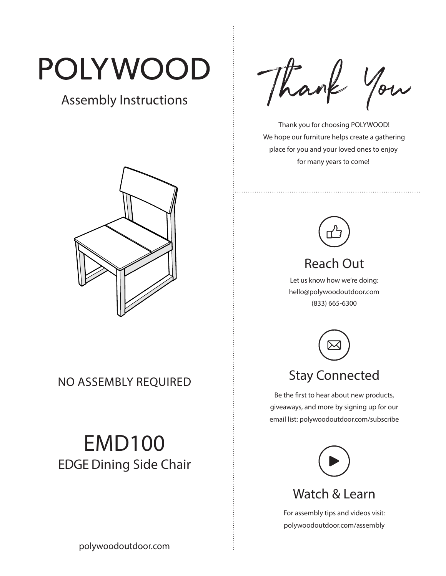# POLYWOOD

## Assembly Instructions



NO ASSEMBLY REQUIRED

## EMD100 EDGE Dining Side Chair

Thank You

 Thank you for choosing POLYWOOD! We hope our furniture helps create a gathering place for you and your loved ones to enjoy for many years to come!



## Reach Out

Let us know how we're doing: hello@polywoodoutdoor.com (833) 665-6300



## Stay Connected

Be the first to hear about new products, giveaways, and more by signing up for our email list: polywoodoutdoor.com/subscribe



#### Watch & Learn

For assembly tips and videos visit: polywoodoutdoor.com/assembly